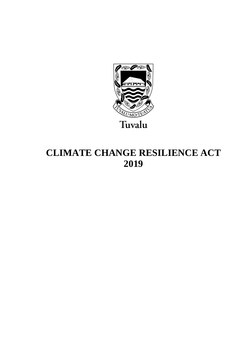

# **CLIMATE CHANGE RESILIENCE ACT 2019**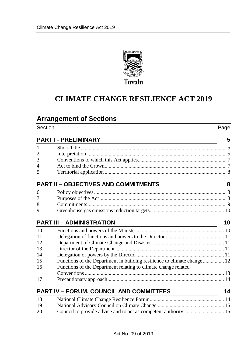

# **CLIMATE CHANGE RESILIENCE ACT 2019**

# **Arrangement of Sections**

Section **Page** 

|    | <b>PART I - PRELIMINARY</b>                                                                                                                               | 5  |
|----|-----------------------------------------------------------------------------------------------------------------------------------------------------------|----|
| 1  |                                                                                                                                                           |    |
| 2  |                                                                                                                                                           |    |
| 3  |                                                                                                                                                           |    |
| 4  |                                                                                                                                                           |    |
| 5  |                                                                                                                                                           |    |
|    | <b>PART II - OBJECTIVES AND COMMITMENTS</b>                                                                                                               | 8  |
| 6  |                                                                                                                                                           |    |
| 7  |                                                                                                                                                           |    |
| 8  |                                                                                                                                                           |    |
| 9  |                                                                                                                                                           |    |
|    | <b>PART III - ADMINISTRATION</b><br><u> 1980 - Johann Barn, mars ann an t-Amhain Aonaichte ann an t-Amhain Aonaichte ann an t-Amhain Aonaichte ann an</u> | 10 |
| 10 |                                                                                                                                                           |    |
| 11 |                                                                                                                                                           |    |
| 12 |                                                                                                                                                           |    |
| 13 |                                                                                                                                                           |    |
| 14 |                                                                                                                                                           |    |
| 15 | Functions of the Department in building resilience to climate change 12                                                                                   |    |
| 16 | Functions of the Department relating to climate change related                                                                                            |    |
|    |                                                                                                                                                           |    |
| 17 |                                                                                                                                                           |    |
|    | <b>PART IV - FORUM, COUNCIL AND COMMITTEES</b>                                                                                                            | 14 |
| 18 |                                                                                                                                                           |    |
| 19 |                                                                                                                                                           |    |
| 20 |                                                                                                                                                           |    |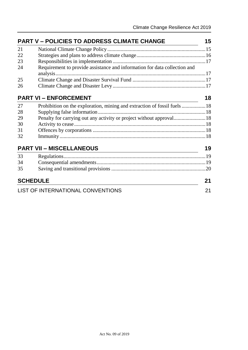|    | <b>PART V - POLICIES TO ADDRESS CLIMATE CHANGE</b>                        | 15 |
|----|---------------------------------------------------------------------------|----|
| 21 |                                                                           |    |
| 22 |                                                                           |    |
| 23 |                                                                           |    |
| 24 | Requirement to provide assistance and information for data collection and |    |
|    |                                                                           |    |
| 25 |                                                                           |    |
| 26 |                                                                           |    |
|    | <b>PART VI - ENFORCEMENT</b>                                              | 18 |
| 27 | Prohibition on the exploration, mining and extraction of fossil fuels  18 |    |
| 28 |                                                                           |    |
| 29 |                                                                           |    |
| 30 |                                                                           |    |
| 31 |                                                                           |    |
| 32 |                                                                           |    |
|    | <b>PART VII - MISCELLANEOUS</b>                                           | 19 |
| 33 |                                                                           |    |
| 34 |                                                                           |    |
| 35 |                                                                           |    |
|    | <b>SCHEDULE</b>                                                           | 21 |
|    | LIST OF INTERNATIONAL CONVENTIONS                                         | 21 |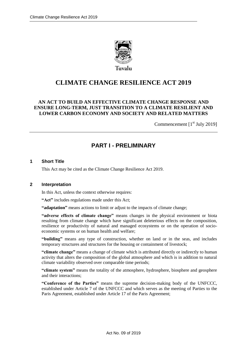

# **CLIMATE CHANGE RESILIENCE ACT 2019**

### <span id="page-4-2"></span><span id="page-4-1"></span><span id="page-4-0"></span>**AN ACT TO BUILD AN EFFECTIVE CLIMATE CHANGE RESPONSE AND ENSURE LONG-TERM, JUST TRANSITION TO A CLIMATE RESILIENT AND LOWER CARBON ECONOMY AND SOCIETY AND RELATED MATTERS**

Commencement [1<sup>st</sup> July 2019]

# **PART I - PRELIMINARY**

### **1 Short Title**

This Act may be cited as the Climate Change Resilience Act 2019.

#### **2 Interpretation**

In this Act, unless the context otherwise requires:

**"Act"** includes regulations made under this Act;

**"adaptation"** means actions to limit or adjust to the impacts of climate change;

**"adverse effects of climate change"** means changes in the physical environment or biota resulting from climate change which have significant deleterious effects on the composition, resilience or productivity of natural and managed ecosystems or on the operation of socioeconomic systems or on human health and welfare;

**"building"** means any type of construction, whether on land or in the seas, and includes temporary structures and structures for the housing or containment of livestock;

**"climate change"** means a change of climate which is attributed directly or indirectly to human activity that alters the composition of the global atmosphere and which is in addition to natural climate variability observed over comparable time periods;

**"climate system"** means the totality of the atmosphere, hydrosphere, biosphere and geosphere and their interactions;

**"Conference of the Parties"** means the supreme decision-making body of the UNFCCC, established under Article 7 of the UNFCCC and which serves as the meeting of Parties to the Paris Agreement, established under Article 17 of the Paris Agreement;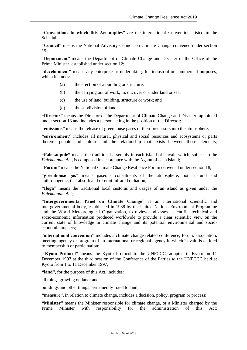**"Conventions to which this Act applies"** are the international Conventions listed in the Schedule;

**"Council"** means the National Advisory Council on Climate Change convened under section 19;

**"Department"** means the Department of Climate Change and Disaster of the Office of the Prime Minister, established under section 12;

**"development"** means any enterprise or undertaking, for industrial or commercial purposes, which includes:

- (a) the erection of a building or structure;
- (b) the carrying out of work, in, on, over or under land or sea;
- (c) the use of land, building, structure or work; and
- (d) the subdivision of land;

**"Director"** means the Director of the Department of Climate Change and Disaster, appointed under section 13 and includes a person acting in the position of the Director;

**"emissions"** means the release of greenhouse gases or their precursors into the atmosphere;

**"environment"** includes all natural, physical and social resources and ecosystems or parts thereof, people and culture and the relationship that exists between these elements;

**"Falekaupule"** means the traditional assembly in each island of Tuvalu which, subject to the *Falekaupule Act*, is composed in accordance with the Aganu of each island;

**"Forum"** means the National Climate Change Resilience Forum convened under section 18;

**"greenhouse gas"** means gaseous constituents of the atmosphere, both natural and anthropogenic, that absorb and re-emit infrared radiation;

**"Iloga"** means the traditional local customs and usages of an island as given under the *Falekaupule Act*;

**"Intergovernmental Panel on Climate Change"** is an international scientific and intergovernmental body, established in 1988 by the United Nations Environment Programme and the World Meteorological Organization, to review and assess scientific, technical and socio-economic information produced worldwide to provide a clear scientific view on the current state of knowledge in climate change and its potential environmental and socioeconomic impacts;

"**international convention"** includes a climate change related conference, forum, association, meeting, agency or program of an international or regional agency in which Tuvalu is entitled to membership or participation;

**"Kyoto Protocol"** means the Kyoto Protocol to the UNFCCC, adopted in Kyoto on 11 December 1997 at the third session of the Conference of the Parties to the UNFCCC held at Kyoto from 1 to 11 December 1997;

**"land"**, for the purpose of this Act, includes:

all things growing on land; and

buildings and other things permanently fixed to land;

**"measure"**, in relation to climate change, includes a decision, policy, program or process;

**"Minister"** means the Minister responsible for climate change, or a Minister charged by the Prime Minister with responsibility for the administration of this Act;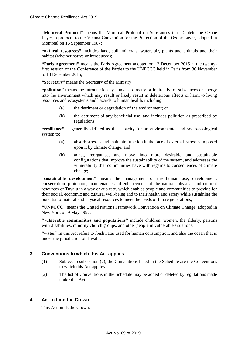**"Montreal Protocol"** means the Montreal Protocol on Substances that Deplete the Ozone Layer, a protocol to the Vienna Convention for the Protection of the Ozone Layer, adopted in Montreal on 16 September 1987;

**"natural resources"** includes land, soil, minerals, water, air, plants and animals and their habitat (whether native or introduced);

**"Paris Agreement"** means the Paris Agreement adopted on 12 December 2015 at the twentyfirst session of the Conference of the Parties to the UNFCCC held in Paris from 30 November to 13 December 2015;

**"Secretary"** means the Secretary of the Ministry;

**"pollution"** means the introduction by humans, directly or indirectly, of substances or energy into the environment which may result or likely result in deleterious effects or harm to living resources and ecosystems and hazards to human health, including:

- (a) the detriment or degradation of the environment; or
- (b) the detriment of any beneficial use, and includes pollution as prescribed by regulations;

**"resilience"** is generally defined as the capacity for an environmental and socio-ecological system to:

- (a) absorb stresses and maintain function in the face of external stresses imposed upon it by climate change; and
- (b) adapt, reorganise, and move into more desirable and sustainable configurations that improve the sustainability of the system, and addresses the vulnerability that communities have with regards to consequences of climate change;

**"sustainable development"** means the management or the human use, development, conservation, protection, maintenance and enhancement of the natural, physical and cultural resources of Tuvalu in a way or at a rate, which enables people and communities to provide for their social, economic and cultural well-being and to their health and safety while sustaining the potential of natural and physical resources to meet the needs of future generations;

<span id="page-6-0"></span>**"UNFCCC"** means the United Nations Framework Convention on Climate Change, adopted in New York on 9 May 1992;

**"vulnerable communities and populations"** include children, women, the elderly, persons with disabilities, minority church groups, and other people in vulnerable situations;

**"water"** in this Act refers to freshwater used for human consumption, and also the ocean that is under the jurisdiction of Tuvalu.

### <span id="page-6-1"></span>**3 Conventions to which this Act applies**

- (1) Subject to subsection (2), the Conventions listed in the Schedule are the Conventions to which this Act applies.
- (2) The list of Conventions in the Schedule may be added or deleted by regulations made under this Act.

#### **4 Act to bind the Crown**

This Act binds the Crown.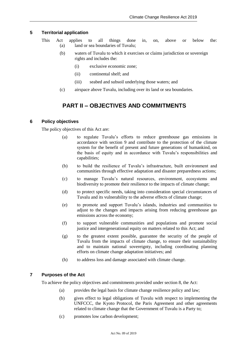### <span id="page-7-0"></span>**5 Territorial application**

- <span id="page-7-2"></span><span id="page-7-1"></span>This Act applies to all things done in, on, above or below the: (a) land or sea boundaries of Tuvalu;
	- (b) waters of Tuvalu to which it exercises or claims jurisdiction or sovereign rights and includes the:
		- (i) exclusive economic zone;
		- (ii) continental shelf; and
		- (iii) seabed and subsoil underlying those waters; and
	- (c) airspace above Tuvalu, including over its land or sea boundaries.

# **PART II – OBJECTIVES AND COMMITMENTS**

#### **6 Policy objectives**

The policy objectives of this Act are:

- (a) to regulate Tuvalu's efforts to reduce greenhouse gas emissions in accordance with section 9 and contribute to the protection of the climate system for the benefit of present and future generations of humankind, on the basis of equity and in accordance with Tuvalu's responsibilities and capabilities;
- (b) to build the resilience of Tuvalu's infrastructure, built environment and communities through effective adaptation and disaster preparedness actions;
- (c) to manage Tuvalu's natural resources, environment, ecosystems and biodiversity to promote their resilience to the impacts of climate change;
- (d) to protect specific needs, taking into consideration special circumstances of Tuvalu and its vulnerability to the adverse effects of climate change;
- (e) to promote and support Tuvalu's islands, industries and communities to adjust to the changes and impacts arising from reducing greenhouse gas emissions across the economy;
- <span id="page-7-3"></span>(f) to support vulnerable communities and populations and promote social justice and intergenerational equity on matters related to this Act; and
- (g) to the greatest extent possible, guarantee the security of the people of Tuvalu from the impacts of climate change, to ensure their sustainability and to maintain national sovereignty, including coordinating planning efforts on climate change adaptation initiatives; and
- (h) to address loss and damage associated with climate change.

#### **7 Purposes of the Act**

To achieve the policy objectives and commitments provided under section 8, the Act:

- (a) provides the legal basis for climate change resilience policy and law;
- (b) gives effect to legal obligations of Tuvalu with respect to implementing the UNFCCC, the Kyoto Protocol, the Paris Agreement and other agreements related to climate change that the Government of Tuvalu is a Party to;
- (c) promotes low carbon development;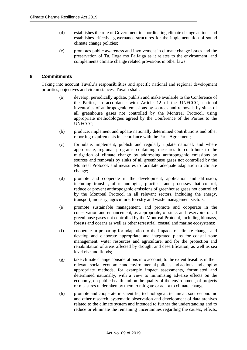- <span id="page-8-0"></span>(d) establishes the role of Government in coordinating climate change actions and establishes effective governance structures for the implementation of sound climate change policies;
- (e) promotes public awareness and involvement in climate change issues and the preservation of Tu, Iloga mo Faifaiga as it relates to the environment; and complements climate change related provisions in other laws.

### **8 Commitments**

Taking into account Tuvalu's responsibilities and specific national and regional development priorities, objectives and circumstances, Tuvalu shall:

- (a) develop, periodically update, publish and make available to the Conference of the Parties, in accordance with Article 12 of the UNFCCC, national inventories of anthropogenic emissions by sources and removals by sinks of all greenhouse gases not controlled by the Montreal Protocol, using appropriate methodologies agreed by the Conference of the Parties to the UNFCCC;
- (b) produce, implement and update nationally determined contributions and other reporting requirements in accordance with the Paris Agreement;
- (c) formulate, implement, publish and regularly update national, and where appropriate, regional programs containing measures to contribute to the mitigation of climate change by addressing anthropogenic emissions by sources and removals by sinks of all greenhouse gases not controlled by the Montreal Protocol, and measures to facilitate adequate adaptation to climate change;
- (d) promote and cooperate in the development, application and diffusion, including transfer, of technologies, practices and processes that control, reduce or prevent anthropogenic emissions of greenhouse gases not controlled by the Montreal Protocol in all relevant sectors, including the energy, transport, industry, agriculture, forestry and waste management sectors;
- (e) promote sustainable management, and promote and cooperate in the conservation and enhancement, as appropriate, of sinks and reservoirs of all greenhouse gases not controlled by the Montreal Protocol, including biomass, forests and oceans as well as other terrestrial, coastal and marine ecosystems;
- (f) cooperate in preparing for adaptation to the impacts of climate change, and develop and elaborate appropriate and integrated plans for coastal zone management, water resources and agriculture, and for the protection and rehabilitation of areas affected by drought and desertification, as well as sea level rise and floods;
- (g) take climate change considerations into account, to the extent feasible, in their relevant social, economic and environmental policies and actions, and employ appropriate methods, for example impact assessments, formulated and determined nationally, with a view to minimising adverse effects on the economy, on public health and on the quality of the environment, of projects or measures undertaken by them to mitigate or adapt to climate change;
- (h) promote and cooperate in scientific, technological, technical, socio-economic and other research, systematic observation and development of data archives related to the climate system and intended to further the understanding and to reduce or eliminate the remaining uncertainties regarding the causes, effects,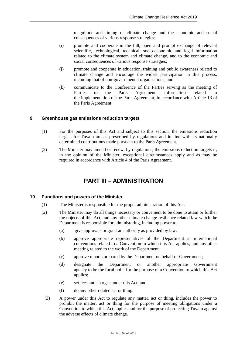magnitude and timing of climate change and the economic and social consequences of various response strategies;

- (i) promote and cooperate in the full, open and prompt exchange of relevant scientific, technological, technical, socio-economic and legal information related to the climate system and climate change, and to the economic and social consequences of various response strategies;
- <span id="page-9-0"></span>(j) promote and cooperate in education, training and public awareness related to climate change and encourage the widest participation in this process, including that of non-governmental organisations; and
- (k) communicate to the Conference of the Parties serving as the meeting of Parties to the Paris Agreement, information related to the implementation of the Paris Agreement, in accordance with Article 13 of the Paris Agreement.

#### <span id="page-9-1"></span>**9 Greenhouse gas emissions reduction targets**

- (1) For the purposes of this Act and subject to this section, the emissions reduction targets for Tuvalu are as prescribed by regulations and in line with its nationally determined contributions made pursuant to the Paris Agreement.
- <span id="page-9-2"></span>(2) The Minister may amend or renew, by regulations, the emissions reduction targets if, in the opinion of the Minister, exceptional circumstances apply and as may be required in accordance with Article 4 of the Paris Agreement.

# **PART III – ADMINISTRATION**

#### **10 Functions and powers of the Minister**

- (1) The Minister is responsible for the proper administration of this Act.
- (2) The Minister may do all things necessary or convenient to be done to attain or further the objects of this Act, and any other climate change resilience related law which the Department is responsible for administering, including power to:
	- (a) give approvals or grant an authority as provided by law;
	- (b) approve appropriate representatives of the Department at international conventions related to a Convention to which this Act applies, and any other meeting related to the work of the Department;
	- (c) approve reports prepared by the Department on behalf of Government;
	- (d) designate the Department or another appropriate Government agency to be the focal point for the purpose of a Convention to which this Act applies;
	- (e) set fees and charges under this Act; and
	- (f) do any other related act or thing.
	- (3) A power under this Act to regulate any matter, act or thing, includes the power to prohibit the matter, act or thing for the purpose of meeting obligations under a Convention to which this Act applies and for the purpose of protecting Tuvalu against the adverse effects of climate change.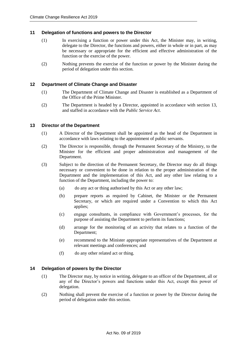#### <span id="page-10-1"></span><span id="page-10-0"></span>**11 Delegation of functions and powers to the Director**

- (1) In exercising a function or power under this Act, the Minister may, in writing, delegate to the Director, the functions and powers, either in whole or in part, as may be necessary or appropriate for the efficient and effective administration of the function or the exercise of the power.
- <span id="page-10-2"></span>(2) Nothing prevents the exercise of the function or power by the Minister during the period of delegation under this section.

#### **12 Department of Climate Change and Disaster**

- (1) The Department of Climate Change and Disaster is established as a Department of the Office of the Prime Minister.
- (2) The Department is headed by a Director, appointed in accordance with section 13, and staffed in accordance with the *Public Service Act*.

#### **13 Director of the Department**

- (1) A Director of the Department shall be appointed as the head of the Department in accordance with laws relating to the appointment of public servants.
- (2) The Director is responsible, through the Permanent Secretary of the Ministry, to the Minister for the efficient and proper administration and management of the Department.
- <span id="page-10-3"></span>(3) Subject to the direction of the Permanent Secretary, the Director may do all things necessary or convenient to be done in relation to the proper administration of the Department and the implementation of this Act, and any other law relating to a function of the Department, including the power to:
	- (a) do any act or thing authorised by this Act or any other law;
	- (b) prepare reports as required by Cabinet, the Minister or the Permanent Secretary, or which are required under a Convention to which this Act applies;
	- (c) engage consultants, in compliance with Government's processes, for the purpose of assisting the Department to perform its functions;
	- (d) arrange for the monitoring of an activity that relates to a function of the Department;
	- (e) recommend to the Minister appropriate representatives of the Department at relevant meetings and conferences; and
	- (f) do any other related act or thing.

#### **14 Delegation of powers by the Director**

- (1) The Director may, by notice in writing, delegate to an officer of the Department, all or any of the Director's powers and functions under this Act, except this power of delegation.
- (2) Nothing shall prevent the exercise of a function or power by the Director during the period of delegation under this section.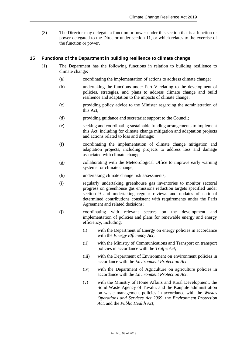<span id="page-11-0"></span>(3) The Director may delegate a function or power under this section that is a function or power delegated to the Director under section 11, or which relates to the exercise of the function or power.

#### **15 Functions of the Department in building resilience to climate change**

- (1) The Department has the following functions in relation to building resilience to climate change:
	- (a) coordinating the implementation of actions to address climate change;
	- (b) undertaking the functions under Part V relating to the development of policies, strategies, and plans to address climate change and build resilience and adaptation to the impacts of climate change;
	- (c) providing policy advice to the Minister regarding the administration of this Act;
	- (d) providing guidance and secretariat support to the Council;
	- (e) seeking and coordinating sustainable funding arrangements to implement this Act, including for climate change mitigation and adaptation projects and actions related to loss and damage;
	- (f) coordinating the implementation of climate change mitigation and adaptation projects, including projects to address loss and damage associated with climate change;
	- (g) collaborating with the Meteorological Office to improve early warning systems for climate change;
	- (h) undertaking climate change risk assessments;
	- (i) regularly undertaking greenhouse gas inventories to monitor sectoral progress on greenhouse gas emissions reduction targets specified under section 9 and undertaking regular reviews and updates of national determined contributions consistent with requirements under the Paris Agreement and related decisions;
	- (j) coordinating with relevant sectors on the development and implementation of policies and plans for renewable energy and energy efficiency, including:
		- (i) with the Department of Energy on energy policies in accordance with the *Energy Efficiency Act*;
		- (ii) with the Ministry of Communications and Transport on transport policies in accordance with the *Traffic Act*;
		- (iii) with the Department of Environment on environment policies in accordance with the *Environment Protection Act*;
		- (iv) with the Department of Agriculture on agriculture policies in accordance with the *Environment Protection Act*;
		- (v) with the Ministry of Home Affairs and Rural Development, the Solid Waste Agency of Tuvalu, and the Kaupule administration on waste management policies in accordance with the *Wastes Operations and Services Act 2009*, the *Environment Protection Act*, and the *Public Health Act*;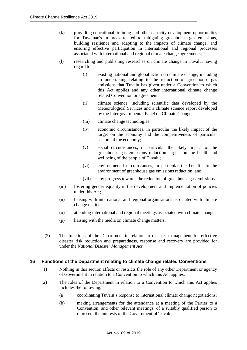- (k) providing educational, training and other capacity development opportunities for Tuvaluan's in areas related to mitigating greenhouse gas emissions, building resilience and adapting to the impacts of climate change, and ensuring effective participation in international and regional processes associated with international and regional climate change agreements;
- (l) researching and publishing researches on climate change in Tuvalu, having regard to:
	- (i) existing national and global action on climate change, including an undertaking relating to the reduction of greenhouse gas emissions that Tuvalu has given under a Convention to which this Act applies and any other international climate change related Convention or agreement;
	- (ii) climate science, including scientific data developed by the Meteorological Services and a climate science report developed by the Intergovernmental Panel on Climate Change;
	- (iii) climate change technologies;
	- (iv) economic circumstances, in particular the likely impact of the target on the economy and the competitiveness of particular sectors of the economy;
	- (v) social circumstances, in particular the likely impact of the greenhouse gas emissions reduction targets on the health and wellbeing of the people of Tuvalu;
	- (vi) environmental circumstances, in particular the benefits to the environment of greenhouse gas emissions reduction; and
	- (vii) any progress towards the reduction of greenhouse gas emissions.
- (m) fostering gender equality in the development and implementation of policies under this Act;
- <span id="page-12-0"></span>(n) liaising with international and regional organisations associated with climate change matters;
- (o) attending international and regional meetings associated with climate change;
- (p) liaising with the media on climate change matters.
- (2) The functions of the Department in relation to disaster management for effective disaster risk reduction and preparedness, response and recovery are provided for under the *National Disaster Management Act*.

#### **16 Functions of the Department relating to climate change related Conventions**

- (1) Nothing in this section affects or restricts the role of any other Department or agency of Government in relation to a Convention to which this Act applies.
- (2) The roles of the Department in relation to a Convention to which this Act applies includes the following:
	- (a) coordinating Tuvalu's response to international climate change negotiations;
	- (b) making arrangements for the attendance at a meeting of the Parties to a Convention, and other relevant meetings, of a suitably qualified person to represent the interests of the Government of Tuvalu;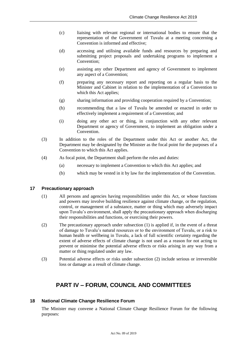- (c) liaising with relevant regional or international bodies to ensure that the representation of the Government of Tuvalu at a meeting concerning a Convention is informed and effective;
- (d) accessing and utilising available funds and resources by preparing and submitting project proposals and undertaking programs to implement a Convention;
- (e) assisting any other Department and agency of Government to implement any aspect of a Convention;
- (f) preparing any necessary report and reporting on a regular basis to the Minister and Cabinet in relation to the implementation of a Convention to which this Act applies;
- (g) sharing information and providing cooperation required by a Convention;
- (h) recommending that a law of Tuvalu be amended or enacted in order to effectively implement a requirement of a Convention; and
- (i) doing any other act or thing, in conjunction with any other relevant Department or agency of Government, to implement an obligation under a Convention.
- <span id="page-13-0"></span>(3) In addition to the roles of the Department under this Act or another Act, the Department may be designated by the Minister as the focal point for the purposes of a Convention to which this Act applies.
- (4) As focal point, the Department shall perform the roles and duties:
	- (a) necessary to implement a Convention to which this Act applies; and
	- (b) which may be vested in it by law for the implementation of the Convention.

### **17 Precautionary approach**

- (1) All persons and agencies having responsibilities under this Act, or whose functions and powers may involve building resilience against climate change, or the regulation, control, or management of a substance, matter or thing which may adversely impact upon Tuvalu's environment, shall apply the precautionary approach when discharging their responsibilities and functions, or exercising their powers.
- <span id="page-13-1"></span>(2) The precautionary approach under subsection (1) is applied if, in the event of a threat of damage to Tuvalu's natural resources or to the environment of Tuvalu, or a risk to human health or wellbeing in Tuvalu, a lack of full scientific certainty regarding the extent of adverse effects of climate change is not used as a reason for not acting to prevent or minimise the potential adverse effects or risks arising in any way from a matter or thing regulated under any law.
- <span id="page-13-2"></span>(3) Potential adverse effects or risks under subsection (2) include serious or irreversible loss or damage as a result of climate change.

### **PART IV – FORUM, COUNCIL AND COMMITTEES**

#### **18 National Climate Change Resilience Forum**

The Minister may convene a National Climate Change Resilience Forum for the following purposes: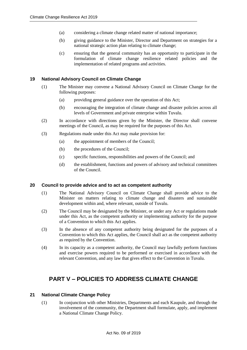- <span id="page-14-0"></span>(a) considering a climate change related matter of national importance;
- (b) giving guidance to the Minister, Director and Department on strategies for a national strategic action plan relating to climate change;
- (c) ensuring that the general community has an opportunity to participate in the formulation of climate change resilience related policies and the implementation of related programs and activities.

#### **19 National Advisory Council on Climate Change**

- (1) The Minister may convene a National Advisory Council on Climate Change for the following purposes:
	- (a) providing general guidance over the operation of this Act;
	- (b) encouraging the integration of climate change and disaster policies across all levels of Government and private enterprise within Tuvalu.
- (2) In accordance with directions given by the Minister, the Director shall convene meetings of the Council, as may be required for the purposes of this Act.
- <span id="page-14-1"></span>(3) Regulations made under this Act may make provision for:
	- (a) the appointment of members of the Council;
	- (b) the procedures of the Council;
	- (c) specific functions, responsibilities and powers of the Council; and
	- (d) the establishment, functions and powers of advisory and technical committees of the Council.

#### **20 Council to provide advice and to act as competent authority**

- (1) The National Advisory Council on Climate Change shall provide advice to the Minister on matters relating to climate change and disasters and sustainable development within and, where relevant, outside of Tuvalu.
- (2) The Council may be designated by the Minister, or under any Act or regulations made under this Act, as the competent authority or implementing authority for the purpose of a Convention to which this Act applies.
- <span id="page-14-2"></span>(3) In the absence of any competent authority being designated for the purposes of a Convention to which this Act applies, the Council shall act as the competent authority as required by the Convention.
- <span id="page-14-3"></span>(4) In its capacity as a competent authority, the Council may lawfully perform functions and exercise powers required to be performed or exercised in accordance with the relevant Convention, and any law that gives effect to the Convention in Tuvalu.

## **PART V – POLICIES TO ADDRESS CLIMATE CHANGE**

#### **21 National Climate Change Policy**

(1) In conjunction with other Ministries, Departments and each Kaupule, and through the involvement of the community, the Department shall formulate, apply, and implement a National Climate Change Policy.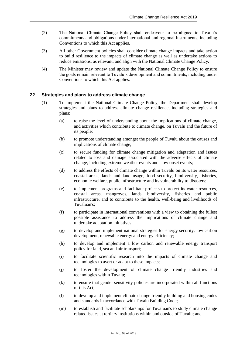- <span id="page-15-0"></span>(2) The National Climate Change Policy shall endeavour to be aligned to Tuvalu's commitments and obligations under international and regional instruments, including Conventions to which this Act applies.
- (3) All other Government policies shall consider climate change impacts and take action to build resilience to the impacts of climate change as well as undertake actions to reduce emissions, as relevant, and align with the National Climate Change Policy.
- (4) The Minister may review and update the National Climate Change Policy to ensure the goals remain relevant to Tuvalu's development and commitments, including under Conventions to which this Act applies.

#### **22 Strategies and plans to address climate change**

- (1) To implement the National Climate Change Policy, the Department shall develop strategies and plans to address climate change resilience, including strategies and plans:
	- (a) to raise the level of understanding about the implications of climate change, and activities which contribute to climate change, on Tuvalu and the future of its people;
	- (b) to promote understanding amongst the people of Tuvalu about the causes and implications of climate change;
	- (c) to secure funding for climate change mitigation and adaptation and issues related to loss and damage associated with the adverse effects of climate change, including extreme weather events and slow onset events;
	- (d) to address the effects of climate change within Tuvalu on its water resources, coastal areas, lands and land usage, food security, biodiversity, fisheries, economic welfare, public infrastructure and its vulnerability to disasters;
	- (e) to implement programs and facilitate projects to protect its water resources, coastal areas, mangroves, lands, biodiversity, fisheries and public infrastructure, and to contribute to the health, well-being and livelihoods of Tuvaluan's;
	- (f) to participate in international conventions with a view to obtaining the fullest possible assistance to address the implications of climate change and undertake adaptation initiatives;
	- (g) to develop and implement national strategies for energy security, low carbon development, renewable energy and energy efficiency;
	- (h) to develop and implement a low carbon and renewable energy transport policy for land, sea and air transport;
	- (i) to facilitate scientific research into the impacts of climate change and technologies to avert or adapt to these impacts;
	- (j) to foster the development of climate change friendly industries and technologies within Tuvalu;
	- (k) to ensure that gender sensitivity policies are incorporated within all functions of this Act;
	- (l) to develop and implement climate change friendly building and housing codes and standards in accordance with Tuvalu Building Code;
	- (m) to establish and facilitate scholarships for Tuvaluan's to study climate change related issues at tertiary institutions within and outside of Tuvalu; and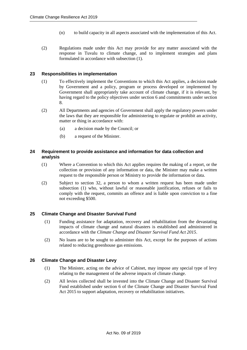- (n) to build capacity in all aspects associated with the implementation of this Act.
- <span id="page-16-0"></span>(2) Regulations made under this Act may provide for any matter associated with the response in Tuvalu to climate change, and to implement strategies and plans formulated in accordance with subsection (1).

#### **23 Responsibilities in implementation**

- <span id="page-16-1"></span>(1) To effectively implement the Conventions to which this Act applies, a decision made by Government and a policy, program or process developed or implemented by Government shall appropriately take account of climate change, if it is relevant, by having regard to the policy objectives under section 6 and commitments under section 8.
- (2) All Departments and agencies of Government shall apply the regulatory powers under the laws that they are responsible for administering to regulate or prohibit an activity, matter or thing in accordance with:
	- (a) a decision made by the Council; or
	- (b) a request of the Minister.

### <span id="page-16-2"></span>**24 Requirement to provide assistance and information for data collection and analysis**

- (1) Where a Convention to which this Act applies requires the making of a report, or the collection or provision of any information or data, the Minister may make a written request to the responsible person or Ministry to provide the information or data.
- (2) Subject to section 32, a person to whom a written request has been made under subsection (1) who, without lawful or reasonable justification, refuses or fails to comply with the request, commits an offence and is liable upon conviction to a fine not exceeding \$500.

#### <span id="page-16-3"></span>**25 Climate Change and Disaster Survival Fund**

- (1) Funding assistance for adaptation, recovery and rehabilitation from the devastating impacts of climate change and natural disasters is established and administered in accordance with the *Climate Change and Disaster Survival Fund Act 2015*.
- (2) No loans are to be sought to administer this Act, except for the purposes of actions related to reducing greenhouse gas emissions.

#### **26 Climate Change and Disaster Levy**

- (1) The Minister, acting on the advice of Cabinet, may impose any special type of levy relating to the management of the adverse impacts of climate change.
- (2) All levies collected shall be invested into the Climate Change and Disaster Survival Fund established under section 6 of the Climate Change and Disaster Survival Fund Act 2015 to support adaptation, recovery or rehabilitation initiatives.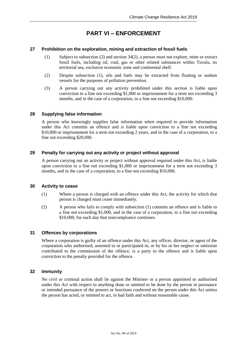# **PART VI – ENFORCEMENT**

#### <span id="page-17-2"></span><span id="page-17-1"></span><span id="page-17-0"></span>**27 Prohibition on the exploration, mining and extraction of fossil fuels**

- (1) Subject to subsection (2) and section 34(2), a person must not explore, mine or extract fossil fuels, including oil, coal, gas or other related substances within Tuvalu, its territorial sea, exclusive economic zone and continental shelf.
- (2) Despite subsection (1), oils and fuels may be extracted from floating or sunken vessels for the purposes of pollution prevention.
- <span id="page-17-3"></span>(3) A person carrying out any activity prohibited under this section is liable upon conviction to a fine not exceeding \$1,000 or imprisonment for a term not exceeding 3 months, and in the case of a corporation, to a fine not exceeding \$10,000.

### **28 Supplying false information**

<span id="page-17-4"></span>A person who knowingly supplies false information when required to provide information under this Act commits an offence and is liable upon conviction to a fine not exceeding \$10,000 or imprisonment for a term not exceeding 2 years, and in the case of a corporation, to a fine not exceeding \$20,000.

#### **29 Penalty for carrying out any activity or project without approval**

A person carrying out an activity or project without approval required under this Act, is liable upon conviction to a fine not exceeding \$1,000 or imprisonment for a term not exceeding 3 months, and in the case of a corporation, to a fine not exceeding \$10,000.

#### <span id="page-17-5"></span>**30 Activity to cease**

- (1) Where a person is charged with an offence under this Act, the activity for which that person is charged must cease immediately.
- <span id="page-17-6"></span>(2) A person who fails to comply with subsection (1) commits an offence and is liable to a fine not exceeding \$1,000, and in the case of a corporation, to a fine not exceeding \$10,000, for each day that noncompliance continues.

#### **31 Offences by corporations**

Where a corporation is guilty of an offence under this Act, any officer, director, or agent of the corporation who authorised, assented to or participated in, or by his or her neglect or omission contributed to the commission of the offence, is a party to the offence and is liable upon conviction to the penalty provided for the offence.

#### **32 Immunity**

No civil or criminal action shall lie against the Minister or a person appointed or authorised under this Act with respect to anything done or omitted to be done by the person in pursuance or intended pursuance of the powers or functions conferred on the person under this Act unless the person has acted, or omitted to act, in bad faith and without reasonable cause.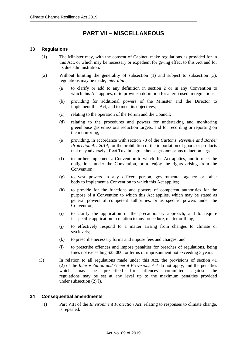# **PART VII – MISCELLANEOUS**

#### <span id="page-18-1"></span><span id="page-18-0"></span>**33 Regulations**

- (1) The Minister may, with the consent of Cabinet, make regulations as provided for in this Act, or which may be necessary or expedient for giving effect to this Act and for its due administration.
- (2) Without limiting the generality of subsection (1) and subject to subsection (3), regulations may be made, *inter alia*:
	- (a) to clarify or add to any definition in section 2 or in any Convention to which this Act applies, or to provide a definition for a term used in regulations;
	- (b) providing for additional powers of the Minister and the Director to implement this Act, and to meet its objectives;
	- (c) relating to the operation of the Forum and the Council;
	- (d) relating to the procedures and powers for undertaking and monitoring greenhouse gas emissions reduction targets, and for recording or reporting on the monitoring;
	- (e) providing, in accordance with section 78 of the *Customs, Revenue and Border Protection Act 2014*, for the prohibition of the importation of goods or products that may adversely affect Tuvalu's greenhouse gas emissions reduction targets;
	- (f) to further implement a Convention to which this Act applies, and to meet the obligations under the Convention, or to enjoy the rights arising from the Convention;
	- (g) to vest powers in any officer, person, governmental agency or other body to implement a Convention to which this Act applies;
	- (h) to provide for the functions and powers of competent authorities for the purpose of a Convention to which this Act applies, which may be stated as general powers of competent authorities, or as specific powers under the Convention;
	- (i) to clarify the application of the precautionary approach, and to require its specific application in relation to any procedure, matter or thing;
	- (j) to effectively respond to a matter arising from changes to climate or sea levels;
	- (k) to prescribe necessary forms and impose fees and charges; and
	- (l) to prescribe offences and impose penalties for breaches of regulations, being fines not exceeding \$25,000, or terms of imprisonment not exceeding 3 years.
- <span id="page-18-2"></span>(3) In relation to all regulations made under this Act, the provisions of section 41 (2) of the *Interpretation and General Provisions Act* do not apply, and the penalties which may be prescribed for offences committed against the regulations may be set at any level up to the maximum penalties provided under subsection (2)(l).

#### **34 Consequential amendments**

(1) Part VIII of the *Environment Protection Act*, relating to responses to climate change, is repealed.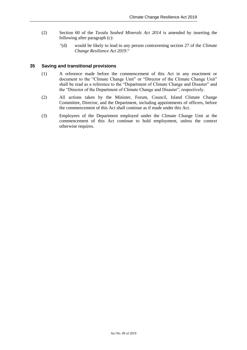- <span id="page-19-0"></span>(2) Section 60 of the *Tuvalu Seabed Minerals Act 2014* is amended by inserting the following after paragraph (c):
	- "(d) would be likely to lead to any person contravening section 27 of the *Climate Change Resilience Act 2019*."

#### **35 Saving and transitional provisions**

- (1) A reference made before the commencement of this Act in any enactment or document to the "Climate Change Unit" or "Director of the Climate Change Unit" shall be read as a reference to the "Department of Climate Change and Disaster" and the "Director of the Department of Climate Change and Disaster", respectively.
- (2) All actions taken by the Minister, Forum, Council, Island Climate Change Committee, Director, and the Department, including appointments of officers, before the commencement of this Act shall continue as if made under this Act.
- (3) Employees of the Department employed under the Climate Change Unit at the commencement of this Act continue to hold employment, unless the context otherwise requires.